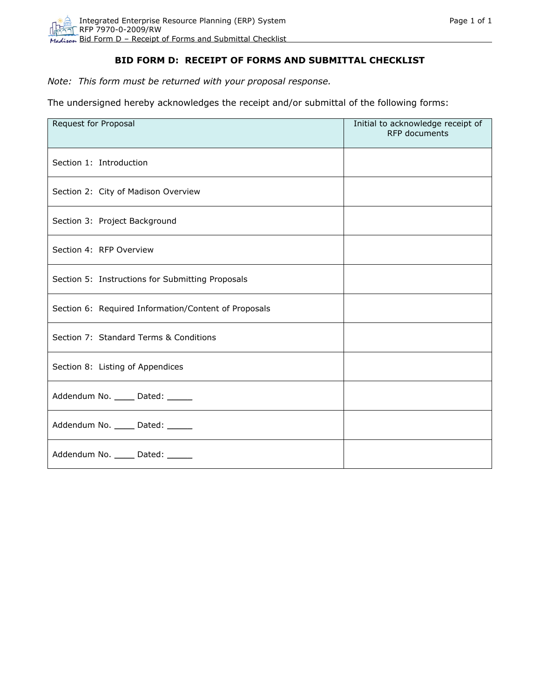## **BID FORM D: RECEIPT OF FORMS AND SUBMITTAL CHECKLIST**

*Note: This form must be returned with your proposal response.* 

The undersigned hereby acknowledges the receipt and/or submittal of the following forms:

| Request for Proposal                                 | Initial to acknowledge receipt of<br><b>RFP</b> documents |
|------------------------------------------------------|-----------------------------------------------------------|
| Section 1: Introduction                              |                                                           |
| Section 2: City of Madison Overview                  |                                                           |
| Section 3: Project Background                        |                                                           |
| Section 4: RFP Overview                              |                                                           |
| Section 5: Instructions for Submitting Proposals     |                                                           |
| Section 6: Required Information/Content of Proposals |                                                           |
| Section 7: Standard Terms & Conditions               |                                                           |
| Section 8: Listing of Appendices                     |                                                           |
| Addendum No. _____ Dated: _____                      |                                                           |
| Addendum No. _____ Dated: _____                      |                                                           |
| Addendum No. _____ Dated: ______                     |                                                           |